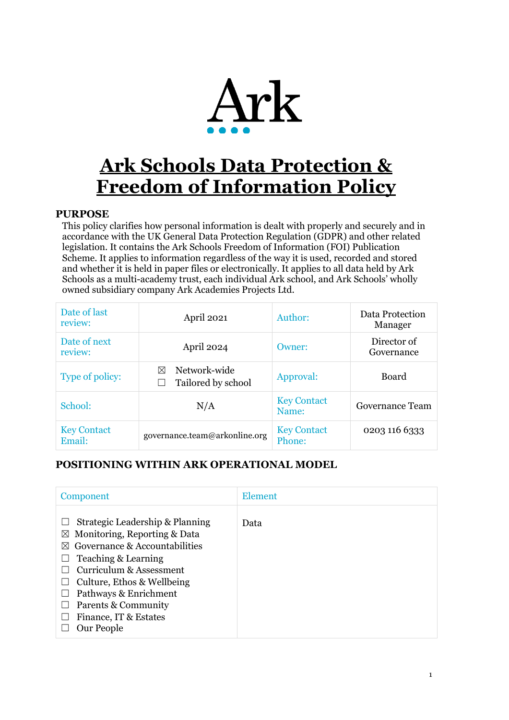

# **Ark Schools Data Protection & Freedom of Information Policy**

## <span id="page-0-0"></span>**PURPOSE**

This policy clarifies how personal information is dealt with properly and securely and in accordance with the UK General Data Protection Regulation (GDPR) and other related legislation. It contains the Ark Schools Freedom of Information (FOI) Publication Scheme. It applies to information regardless of the way it is used, recorded and stored and whether it is held in paper files or electronically. It applies to all data held by Ark Schools as a multi-academy trust, each individual Ark school, and Ark Schools' wholly owned subsidiary company Ark Academies Projects Ltd.

| Date of last<br>review:      | April 2021                                      | Author:                      | Data Protection<br>Manager |
|------------------------------|-------------------------------------------------|------------------------------|----------------------------|
| Date of next<br>review:      | April 2024                                      | Owner:                       | Director of<br>Governance  |
| Type of policy:              | Network-wide<br>$\bowtie$<br>Tailored by school | Approval:                    | <b>Board</b>               |
| School:                      | N/A                                             | <b>Key Contact</b><br>Name:  | Governance Team            |
| <b>Key Contact</b><br>Email: | governance.team@arkonline.org                   | <b>Key Contact</b><br>Phone: | 0203 116 6333              |

## **POSITIONING WITHIN ARK OPERATIONAL MODEL**

| Component                                                                                                                                                                                                                                                                                        | Element |
|--------------------------------------------------------------------------------------------------------------------------------------------------------------------------------------------------------------------------------------------------------------------------------------------------|---------|
| Strategic Leadership & Planning<br>$\boxtimes$ Monitoring, Reporting & Data<br>Governance & Accountabilities<br>$\bowtie$<br>Teaching & Learning<br>Curriculum & Assessment<br>Culture, Ethos & Wellbeing<br>Pathways & Enrichment<br>Parents & Community<br>Finance, IT & Estates<br>Our People | Data    |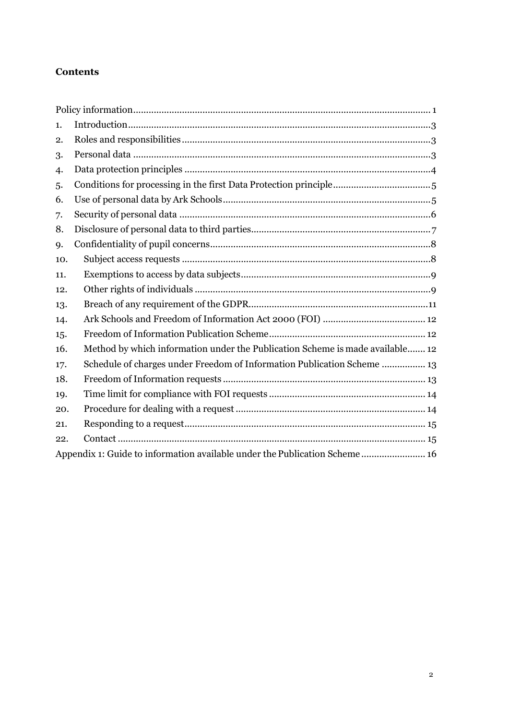# **Contents**

| 1.  |                                                                               |
|-----|-------------------------------------------------------------------------------|
| 2.  |                                                                               |
| 3.  |                                                                               |
| 4.  |                                                                               |
| 5.  |                                                                               |
| 6.  |                                                                               |
| 7.  |                                                                               |
| 8.  |                                                                               |
| 9.  |                                                                               |
| 10. |                                                                               |
| 11. |                                                                               |
| 12. |                                                                               |
| 13. |                                                                               |
| 14. |                                                                               |
| 15. |                                                                               |
| 16. | Method by which information under the Publication Scheme is made available 12 |
| 17. | Schedule of charges under Freedom of Information Publication Scheme  13       |
| 18. |                                                                               |
| 19. |                                                                               |
| 20. |                                                                               |
| 21. |                                                                               |
| 22. |                                                                               |
|     | Appendix 1: Guide to information available under the Publication Scheme 16    |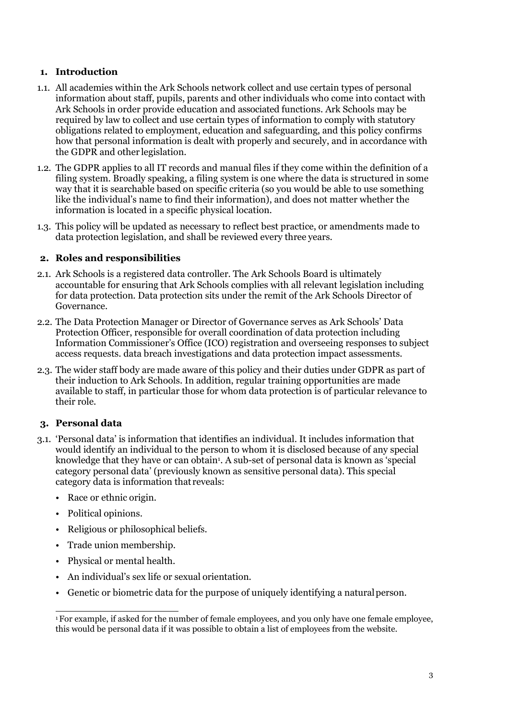## <span id="page-2-0"></span>**1. Introduction**

- 1.1. All academies within the Ark Schools network collect and use certain types of personal information about staff, pupils, parents and other individuals who come into contact with Ark Schools in order provide education and associated functions. Ark Schools may be required by law to collect and use certain types of information to comply with statutory obligations related to employment, education and safeguarding, and this policy confirms how that personal information is dealt with properly and securely, and in accordance with the GDPR and other legislation.
- 1.2. The GDPR applies to all IT records and manual files if they come within the definition of a filing system. Broadly speaking, a filing system is one where the data is structured in some way that it is searchable based on specific criteria (so you would be able to use something like the individual's name to find their information), and does not matter whether the information is located in a specific physical location.
- 1.3. This policy will be updated as necessary to reflect best practice, or amendments made to data protection legislation, and shall be reviewed every three years.

## <span id="page-2-1"></span>**2. Roles and responsibilities**

- 2.1. Ark Schools is a registered data controller. The Ark Schools Board is ultimately accountable for ensuring that Ark Schools complies with all relevant legislation including for data protection. Data protection sits under the remit of the Ark Schools Director of Governance.
- 2.2. The Data Protection Manager or Director of Governance serves as Ark Schools' Data Protection Officer, responsible for overall coordination of data protection including Information Commissioner's Office (ICO) registration and overseeing responses to subject access requests. data breach investigations and data protection impact assessments.
- 2.3. The wider staff body are made aware of this policy and their duties under GDPR as part of their induction to Ark Schools. In addition, regular training opportunities are made available to staff, in particular those for whom data protection is of particular relevance to their role.

## <span id="page-2-2"></span>**3. Personal data**

- 3.1. 'Personal data' is information that identifies an individual. It includes information that would identify an individual to the person to whom it is disclosed because of any special knowledge that they have or can obtain<sup>1</sup>. A sub-set of personal data is known as 'special category personal data' (previously known as sensitive personal data). This special category data is information that reveals:
	- Race or ethnic origin.
	- Political opinions.
	- Religious or philosophical beliefs.
	- Trade union membership.
	- Physical or mental health.
	- An individual's sex life or sexual orientation.
	- Genetic or biometric data for the purpose of uniquely identifying a naturalperson.

<sup>1</sup> For example, if asked for the number of female employees, and you only have one female employee, this would be personal data if it was possible to obtain a list of employees from the website.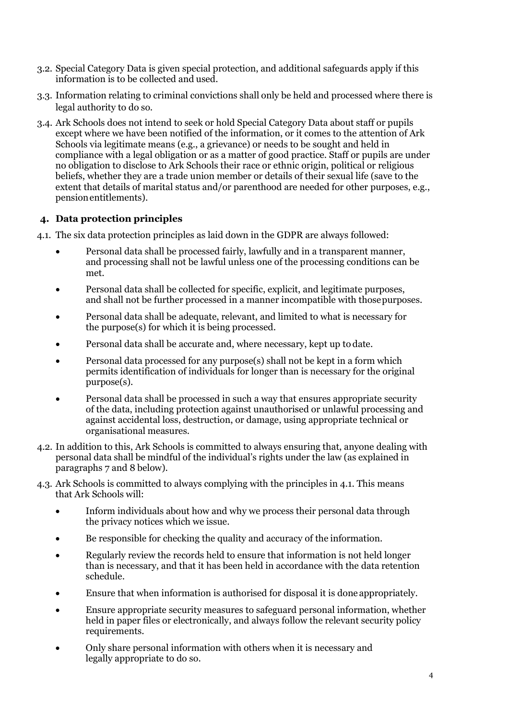- 3.2. Special Category Data is given special protection, and additional safeguards apply if this information is to be collected and used.
- 3.3. Information relating to criminal convictions shall only be held and processed where there is legal authority to do so.
- 3.4. Ark Schools does not intend to seek or hold Special Category Data about staff or pupils except where we have been notified of the information, or it comes to the attention of Ark Schools via legitimate means (e.g., a grievance) or needs to be sought and held in compliance with a legal obligation or as a matter of good practice. Staff or pupils are under no obligation to disclose to Ark Schools their race or ethnic origin, political or religious beliefs, whether they are a trade union member or details of their sexual life (save to the extent that details of marital status and/or parenthood are needed for other purposes, e.g., pensionentitlements).

## <span id="page-3-0"></span>**4. Data protection principles**

4.1. The six data protection principles as laid down in the GDPR are always followed:

- Personal data shall be processed fairly, lawfully and in a transparent manner, and processing shall not be lawful unless one of the processing conditions can be met.
- Personal data shall be collected for specific, explicit, and legitimate purposes, and shall not be further processed in a manner incompatible with thosepurposes.
- Personal data shall be adequate, relevant, and limited to what is necessary for the purpose(s) for which it is being processed.
- Personal data shall be accurate and, where necessary, kept up to date.
- Personal data processed for any purpose(s) shall not be kept in a form which permits identification of individuals for longer than is necessary for the original purpose(s).
- Personal data shall be processed in such a way that ensures appropriate security of the data, including protection against unauthorised or unlawful processing and against accidental loss, destruction, or damage, using appropriate technical or organisational measures.
- 4.2. In addition to this, Ark Schools is committed to always ensuring that, anyone dealing with personal data shall be mindful of the individual's rights under the law (as explained in paragraphs 7 and 8 below).
- 4.3. Ark Schools is committed to always complying with the principles in 4.1. This means that Ark Schools will:
	- Inform individuals about how and why we process their personal data through the privacy notices which we issue.
	- Be responsible for checking the quality and accuracy of the information.
	- Regularly review the records held to ensure that information is not held longer than is necessary, and that it has been held in accordance with the data retention schedule.
	- Ensure that when information is authorised for disposal it is done appropriately.
	- Ensure appropriate security measures to safeguard personal information, whether held in paper files or electronically, and always follow the relevant security policy requirements.
	- Only share personal information with others when it is necessary and legally appropriate to do so.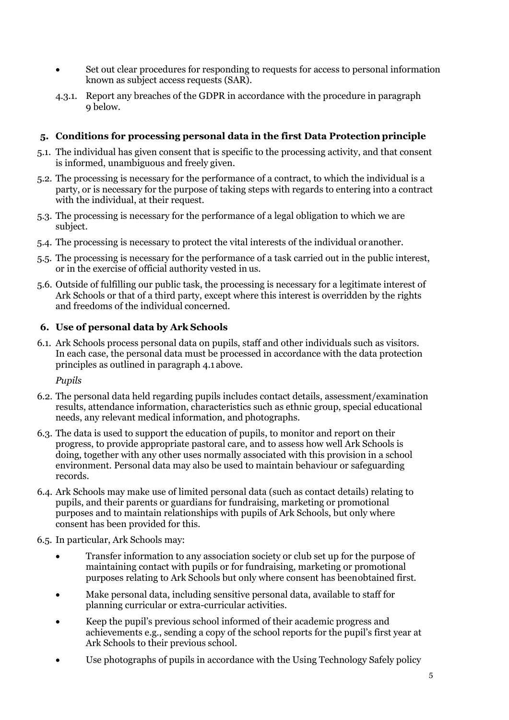- Set out clear procedures for responding to requests for access to personal information known as subject access requests (SAR).
- 4.3.1. Report any breaches of the GDPR in accordance with the procedure in paragraph 9 below.

## <span id="page-4-0"></span>**5. Conditions for processing personal data in the first Data Protectionprinciple**

- 5.1. The individual has given consent that is specific to the processing activity, and that consent is informed, unambiguous and freely given.
- 5.2. The processing is necessary for the performance of a contract, to which the individual is a party, or is necessary for the purpose of taking steps with regards to entering into a contract with the individual, at their request.
- 5.3. The processing is necessary for the performance of a legal obligation to which we are subject.
- 5.4. The processing is necessary to protect the vital interests of the individual oranother.
- 5.5. The processing is necessary for the performance of a task carried out in the public interest, or in the exercise of official authority vested in us.
- 5.6. Outside of fulfilling our public task, the processing is necessary for a legitimate interest of Ark Schools or that of a third party, except where this interest is overridden by the rights and freedoms of the individual concerned.

## <span id="page-4-1"></span>**6. Use of personal data by Ark Schools**

6.1. Ark Schools process personal data on pupils, staff and other individuals such as visitors. In each case, the personal data must be processed in accordance with the data protection principles as outlined in paragraph 4.1 above.

*Pupils*

- 6.2. The personal data held regarding pupils includes contact details, assessment/examination results, attendance information, characteristics such as ethnic group, special educational needs, any relevant medical information, and photographs.
- 6.3. The data is used to support the education of pupils, to monitor and report on their progress, to provide appropriate pastoral care, and to assess how well Ark Schools is doing, together with any other uses normally associated with this provision in a school environment. Personal data may also be used to maintain behaviour or safeguarding records.
- 6.4. Ark Schools may make use of limited personal data (such as contact details) relating to pupils, and their parents or guardians for fundraising, marketing or promotional purposes and to maintain relationships with pupils of Ark Schools, but only where consent has been provided for this.

6.5. In particular, Ark Schools may:

- Transfer information to any association society or club set up for the purpose of maintaining contact with pupils or for fundraising, marketing or promotional purposes relating to Ark Schools but only where consent has beenobtained first.
- Make personal data, including sensitive personal data, available to staff for planning curricular or extra-curricular activities.
- Keep the pupil's previous school informed of their academic progress and achievements e.g., sending a copy of the school reports for the pupil's first year at Ark Schools to their previous school.
- Use photographs of pupils in accordance with the Using Technology Safely policy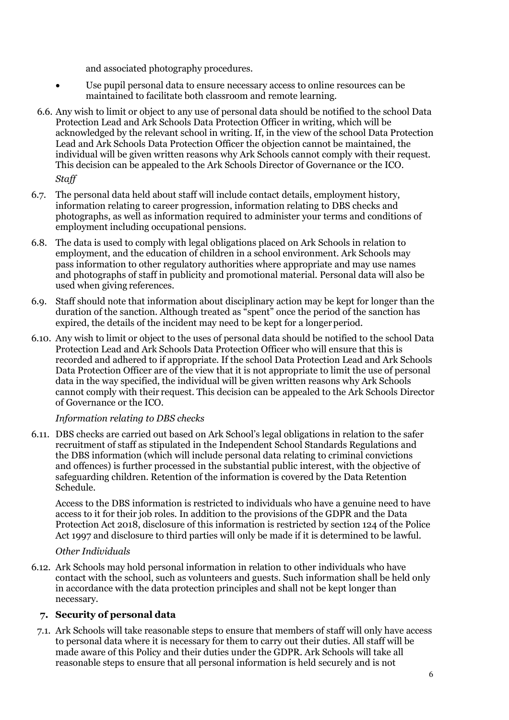and associated photography procedures.

- Use pupil personal data to ensure necessary access to online resources can be maintained to facilitate both classroom and remote learning.
- 6.6. Any wish to limit or object to any use of personal data should be notified to the school Data Protection Lead and Ark Schools Data Protection Officer in writing, which will be acknowledged by the relevant school in writing. If, in the view of the school Data Protection Lead and Ark Schools Data Protection Officer the objection cannot be maintained, the individual will be given written reasons why Ark Schools cannot comply with their request. This decision can be appealed to the Ark Schools Director of Governance or the ICO.

*Staff*

- 6.7. The personal data held about staff will include contact details, employment history, information relating to career progression, information relating to DBS checks and photographs, as well as information required to administer your terms and conditions of employment including occupational pensions.
- 6.8. The data is used to comply with legal obligations placed on Ark Schools in relation to employment, and the education of children in a school environment. Ark Schools may pass information to other regulatory authorities where appropriate and may use names and photographs of staff in publicity and promotional material. Personal data will also be used when giving references.
- 6.9. Staff should note that information about disciplinary action may be kept for longer than the duration of the sanction. Although treated as "spent" once the period of the sanction has expired, the details of the incident may need to be kept for a longer period.
- 6.10. Any wish to limit or object to the uses of personal data should be notified to the school Data Protection Lead and Ark Schools Data Protection Officer who will ensure that this is recorded and adhered to if appropriate. If the school Data Protection Lead and Ark Schools Data Protection Officer are of the view that it is not appropriate to limit the use of personal data in the way specified, the individual will be given written reasons why Ark Schools cannot comply with their request. This decision can be appealed to the Ark Schools Director of Governance or the ICO.

## *Information relating to DBS checks*

6.11. DBS checks are carried out based on Ark School's legal obligations in relation to the safer recruitment of staff as stipulated in the Independent School Standards Regulations and the DBS information (which will include personal data relating to criminal convictions and offences) is further processed in the substantial public interest, with the objective of safeguarding children. Retention of the information is covered by the Data Retention Schedule.

Access to the DBS information is restricted to individuals who have a genuine need to have access to it for their job roles. In addition to the provisions of the GDPR and the Data Protection Act 2018, disclosure of this information is restricted by section 124 of the Police Act 1997 and disclosure to third parties will only be made if it is determined to be lawful.

## *Other Individuals*

6.12. Ark Schools may hold personal information in relation to other individuals who have contact with the school, such as volunteers and guests. Such information shall be held only in accordance with the data protection principles and shall not be kept longer than necessary.

## <span id="page-5-0"></span>**7. Security of personal data**

7.1. Ark Schools will take reasonable steps to ensure that members of staff will only have access to personal data where it is necessary for them to carry out their duties. All staff will be made aware of this Policy and their duties under the GDPR. Ark Schools will take all reasonable steps to ensure that all personal information is held securely and is not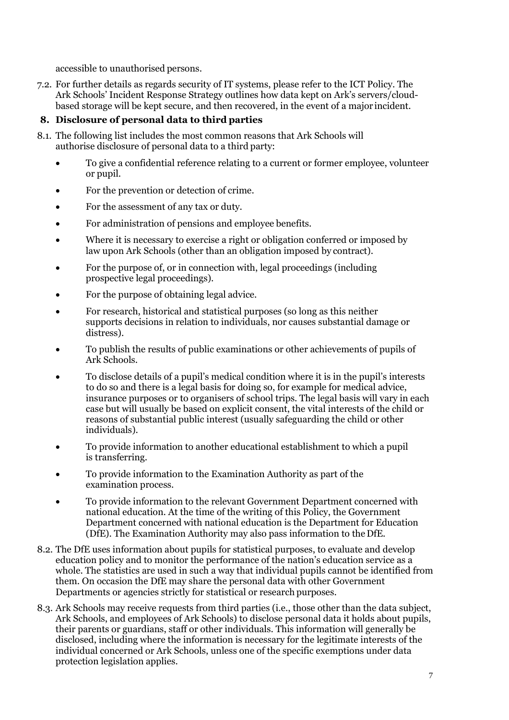accessible to unauthorised persons.

7.2. For further details as regards security of IT systems, please refer to the ICT Policy. The Ark Schools' Incident Response Strategy outlines how data kept on Ark's servers/cloudbased storage will be kept secure, and then recovered, in the event of a major incident.

## <span id="page-6-0"></span>**8. Disclosure of personal data to third parties**

8.1. The following list includes the most common reasons that Ark Schools will authorise disclosure of personal data to a third party:

- To give a confidential reference relating to a current or former employee, volunteer or pupil.
- For the prevention or detection of crime.
- For the assessment of any tax or duty.
- For administration of pensions and employee benefits.
- Where it is necessary to exercise a right or obligation conferred or imposed by law upon Ark Schools (other than an obligation imposed by contract).
- For the purpose of, or in connection with, legal proceedings (including prospective legal proceedings).
- For the purpose of obtaining legal advice.
- For research, historical and statistical purposes (so long as this neither supports decisions in relation to individuals, nor causes substantial damage or distress).
- To publish the results of public examinations or other achievements of pupils of Ark Schools.
- To disclose details of a pupil's medical condition where it is in the pupil's interests to do so and there is a legal basis for doing so, for example for medical advice, insurance purposes or to organisers of school trips. The legal basis will vary in each case but will usually be based on explicit consent, the vital interests of the child or reasons of substantial public interest (usually safeguarding the child or other individuals).
- To provide information to another educational establishment to which a pupil is transferring.
- To provide information to the Examination Authority as part of the examination process.
- To provide information to the relevant Government Department concerned with national education. At the time of the writing of this Policy, the Government Department concerned with national education is the Department for Education (DfE). The Examination Authority may also pass information to theDfE.
- 8.2. The DfE uses information about pupils for statistical purposes, to evaluate and develop education policy and to monitor the performance of the nation's education service as a whole. The statistics are used in such a way that individual pupils cannot be identified from them. On occasion the DfE may share the personal data with other Government Departments or agencies strictly for statistical or research purposes.
- 8.3. Ark Schools may receive requests from third parties (i.e., those other than the data subject, Ark Schools, and employees of Ark Schools) to disclose personal data it holds about pupils, their parents or guardians, staff or other individuals. This information will generally be disclosed, including where the information is necessary for the legitimate interests of the individual concerned or Ark Schools, unless one of the specific exemptions under data protection legislation applies.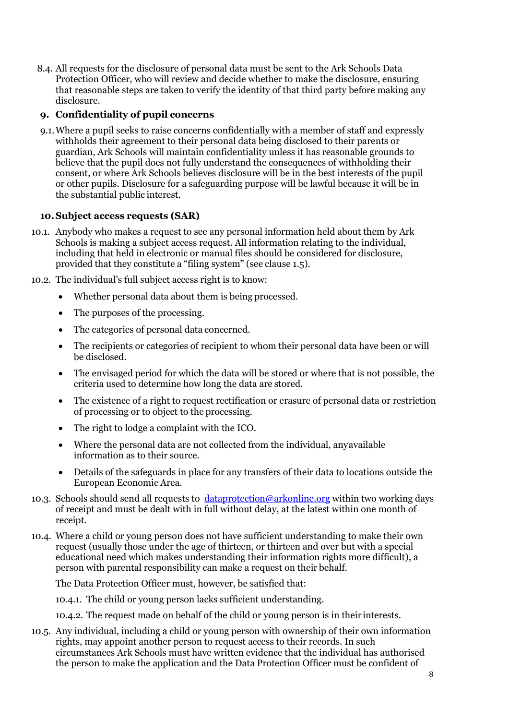8.4. All requests for the disclosure of personal data must be sent to the Ark Schools Data Protection Officer, who will review and decide whether to make the disclosure, ensuring that reasonable steps are taken to verify the identity of that third party before making any disclosure.

## <span id="page-7-0"></span>**9. Confidentiality of pupil concerns**

9.1.Where a pupil seeks to raise concerns confidentially with a member of staff and expressly withholds their agreement to their personal data being disclosed to their parents or guardian, Ark Schools will maintain confidentiality unless it has reasonable grounds to believe that the pupil does not fully understand the consequences of withholding their consent, or where Ark Schools believes disclosure will be in the best interests of the pupil or other pupils. Disclosure for a safeguarding purpose will be lawful because it will be in the substantial public interest.

## **10.Subject access requests (SAR)**

- <span id="page-7-1"></span>10.1. Anybody who makes a request to see any personal information held about them by Ark Schools is making a subject access request. All information relating to the individual, including that held in electronic or manual files should be considered for disclosure, provided that they constitute a "filing system" (see clause 1.5).
- 10.2. The individual's full subject access right is to know:
	- Whether personal data about them is being processed.
	- The purposes of the processing.
	- The categories of personal data concerned.
	- The recipients or categories of recipient to whom their personal data have been or will be disclosed.
	- The envisaged period for which the data will be stored or where that is not possible, the criteria used to determine how long the data are stored.
	- The existence of a right to request rectification or erasure of personal data or restriction of processing or to object to the processing.
	- The right to lodge a complaint with the ICO.
	- Where the personal data are not collected from the individual, anyavailable information as to their source.
	- Details of the safeguards in place for any transfers of their data to locations outside the European Economic Area.
- 10.3. Schools should send all requests to [dataprotection@arkonline.org](mailto:dataprotection@arkonline.org) within two working days of receipt and must be dealt with in full without delay, at the latest within one month of receipt.
- 10.4. Where a child or young person does not have sufficient understanding to make their own request (usually those under the age of thirteen, or thirteen and over but with a special educational need which makes understanding their information rights more difficult), a person with parental responsibility can make a request on their behalf.

The Data Protection Officer must, however, be satisfied that:

10.4.1. The child or young person lacks sufficient understanding.

10.4.2. The request made on behalf of the child or young person is in their interests.

10.5. Any individual, including a child or young person with ownership of their own information rights, may appoint another person to request access to their records. In such circumstances Ark Schools must have written evidence that the individual has authorised the person to make the application and the Data Protection Officer must be confident of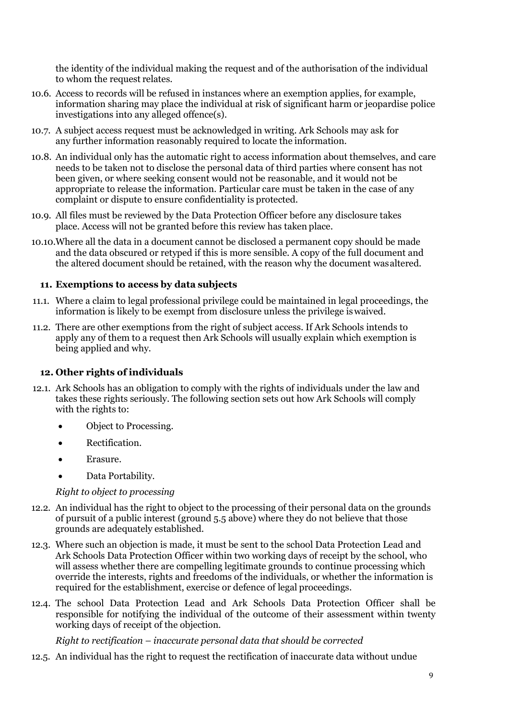the identity of the individual making the request and of the authorisation of the individual to whom the request relates.

- 10.6. Access to records will be refused in instances where an exemption applies, for example, information sharing may place the individual at risk of significant harm or jeopardise police investigations into any alleged offence(s).
- 10.7. A subject access request must be acknowledged in writing. Ark Schools may ask for any further information reasonably required to locate the information.
- 10.8. An individual only has the automatic right to access information about themselves, and care needs to be taken not to disclose the personal data of third parties where consent has not been given, or where seeking consent would not be reasonable, and it would not be appropriate to release the information. Particular care must be taken in the case of any complaint or dispute to ensure confidentiality is protected.
- 10.9. All files must be reviewed by the Data Protection Officer before any disclosure takes place. Access will not be granted before this review has taken place.
- 10.10.Where all the data in a document cannot be disclosed a permanent copy should be made and the data obscured or retyped if this is more sensible. A copy of the full document and the altered document should be retained, with the reason why the document wasaltered.

## <span id="page-8-0"></span>**11. Exemptions to access by data subjects**

- 11.1. Where a claim to legal professional privilege could be maintained in legal proceedings, the information is likely to be exempt from disclosure unless the privilege iswaived.
- 11.2. There are other exemptions from the right of subject access. If Ark Schools intends to apply any of them to a request then Ark Schools will usually explain which exemption is being applied and why.

#### <span id="page-8-1"></span>**12. Other rights of individuals**

- 12.1. Ark Schools has an obligation to comply with the rights of individuals under the law and takes these rights seriously. The following section sets out how Ark Schools will comply with the rights to:
	- Object to Processing.
	- Rectification.
	- Erasure.
	- Data Portability.

#### *Right to object to processing*

- 12.2. An individual has the right to object to the processing of their personal data on the grounds of pursuit of a public interest (ground 5.5 above) where they do not believe that those grounds are adequately established.
- 12.3. Where such an objection is made, it must be sent to the school Data Protection Lead and Ark Schools Data Protection Officer within two working days of receipt by the school, who will assess whether there are compelling legitimate grounds to continue processing which override the interests, rights and freedoms of the individuals, or whether the information is required for the establishment, exercise or defence of legal proceedings.
- 12.4. The school Data Protection Lead and Ark Schools Data Protection Officer shall be responsible for notifying the individual of the outcome of their assessment within twenty working days of receipt of the objection.

#### *Right to rectification – inaccurate personal data that should be corrected*

12.5. An individual has the right to request the rectification of inaccurate data without undue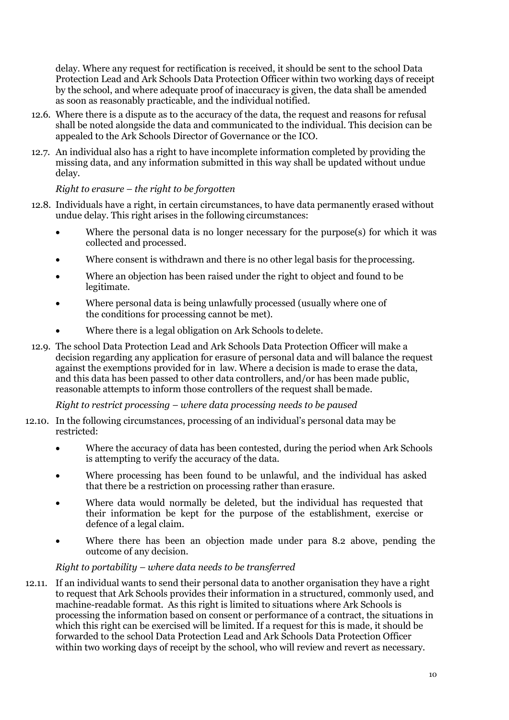delay. Where any request for rectification is received, it should be sent to the school Data Protection Lead and Ark Schools Data Protection Officer within two working days of receipt by the school, and where adequate proof of inaccuracy is given, the data shall be amended as soon as reasonably practicable, and the individual notified.

- 12.6. Where there is a dispute as to the accuracy of the data, the request and reasons for refusal shall be noted alongside the data and communicated to the individual. This decision can be appealed to the Ark Schools Director of Governance or the ICO.
- 12.7. An individual also has a right to have incomplete information completed by providing the missing data, and any information submitted in this way shall be updated without undue delay.

## *Right to erasure – the right to be forgotten*

- 12.8. Individuals have a right, in certain circumstances, to have data permanently erased without undue delay. This right arises in the following circumstances:
	- Where the personal data is no longer necessary for the purpose(s) for which it was collected and processed.
	- Where consent is withdrawn and there is no other legal basis for the processing.
	- Where an objection has been raised under the right to object and found to be legitimate.
	- Where personal data is being unlawfully processed (usually where one of the conditions for processing cannot be met).
	- Where there is a legal obligation on Ark Schools to delete.
- 12.9. The school Data Protection Lead and Ark Schools Data Protection Officer will make a decision regarding any application for erasure of personal data and will balance the request against the exemptions provided for in law. Where a decision is made to erase the data, and this data has been passed to other data controllers, and/or has been made public, reasonable attempts to inform those controllers of the request shall bemade.

## *Right to restrict processing – where data processing needs to be paused*

- 12.10. In the following circumstances, processing of an individual's personal data may be restricted:
	- Where the accuracy of data has been contested, during the period when Ark Schools is attempting to verify the accuracy of the data.
	- Where processing has been found to be unlawful, and the individual has asked that there be a restriction on processing rather than erasure.
	- Where data would normally be deleted, but the individual has requested that their information be kept for the purpose of the establishment, exercise or defence of a legal claim.
	- Where there has been an objection made under para 8.2 above, pending the outcome of any decision.

## *Right to portability – where data needs to be transferred*

12.11. If an individual wants to send their personal data to another organisation they have a right to request that Ark Schools provides their information in a structured, commonly used, and machine-readable format. As this right is limited to situations where Ark Schools is processing the information based on consent or performance of a contract, the situations in which this right can be exercised will be limited. If a request for this is made, it should be forwarded to the school Data Protection Lead and Ark Schools Data Protection Officer within two working days of receipt by the school, who will review and revert as necessary.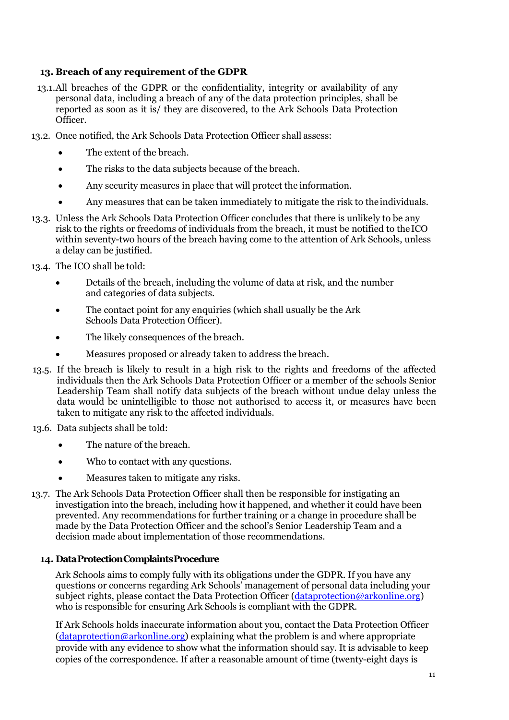## <span id="page-10-0"></span>**13. Breach of any requirement of the GDPR**

- 13.1.All breaches of the GDPR or the confidentiality, integrity or availability of any personal data, including a breach of any of the data protection principles, shall be reported as soon as it is/ they are discovered, to the Ark Schools Data Protection Officer.
- 13.2. Once notified, the Ark Schools Data Protection Officer shall assess:
	- The extent of the breach.
	- The risks to the data subjects because of the breach.
	- Any security measures in place that will protect the information.
	- Any measures that can be taken immediately to mitigate the risk to theindividuals.
- 13.3. Unless the Ark Schools Data Protection Officer concludes that there is unlikely to be any risk to the rights or freedoms of individuals from the breach, it must be notified to theICO within seventy-two hours of the breach having come to the attention of Ark Schools, unless a delay can be justified.
- 13.4. The ICO shall be told:
	- Details of the breach, including the volume of data at risk, and the number and categories of data subjects.
	- The contact point for any enquiries (which shall usually be the Ark Schools Data Protection Officer).
	- The likely consequences of the breach.
	- Measures proposed or already taken to address the breach.
- 13.5. If the breach is likely to result in a high risk to the rights and freedoms of the affected individuals then the Ark Schools Data Protection Officer or a member of the schools Senior Leadership Team shall notify data subjects of the breach without undue delay unless the data would be unintelligible to those not authorised to access it, or measures have been taken to mitigate any risk to the affected individuals.
- 13.6. Data subjects shall be told:
	- The nature of the breach.
	- Who to contact with any questions.
	- Measures taken to mitigate any risks.
- 13.7. The Ark Schools Data Protection Officer shall then be responsible for instigating an investigation into the breach, including how it happened, and whether it could have been prevented. Any recommendations for further training or a change in procedure shall be made by the Data Protection Officer and the school's Senior Leadership Team and a decision made about implementation of those recommendations.

## **14. DataProtectionComplaintsProcedure**

Ark Schools aims to comply fully with its obligations under the GDPR. If you have any questions or concerns regarding Ark Schools' management of personal data including your subject rights, please contact the Data Protection Officer [\(dataprotection@arkonline.org\)](mailto:dataprotection@arkonline.org) who is responsible for ensuring Ark Schools is compliant with the GDPR.

If Ark Schools holds inaccurate information about you, contact the Data Protection Officer  $(dataprotein@arkonline.org)$  explaining what the problem is and where appropriate provide with any evidence to show what the information should say. It is advisable to keep copies of the correspondence. If after a reasonable amount of time (twenty-eight days is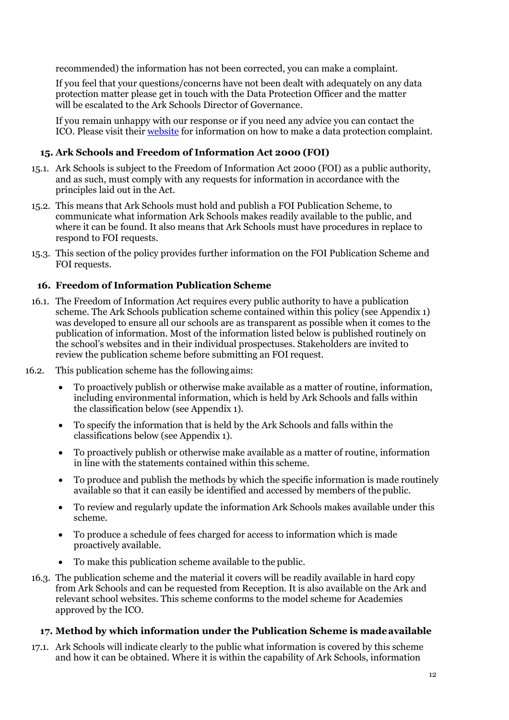recommended) the information has not been corrected, you can make a complaint.

If you feel that your questions/concerns have not been dealt with adequately on any data protection matter please get in touch with the Data Protection Officer and the matter will be escalated to the Ark Schools Director of Governance.

If you remain unhappy with our response or if you need any advice you can contact the ICO. Please visit thei[r website](https://ico.org.uk/concerns/) for information on how to make a data protection complaint.

## **15. Ark Schools and Freedom of Information Act 2000 (FOI)**

- <span id="page-11-0"></span>15.1. Ark Schools is subject to the Freedom of Information Act 2000 (FOI) as a public authority, and as such, must comply with any requests for information in accordance with the principles laid out in the Act.
- 15.2. This means that Ark Schools must hold and publish a FOI Publication Scheme, to communicate what information Ark Schools makes readily available to the public, and where it can be found. It also means that Ark Schools must have procedures in replace to respond to FOI requests.
- 15.3. This section of the policy provides further information on the FOI Publication Scheme and FOI requests.

## <span id="page-11-1"></span>**16. Freedom of Information Publication Scheme**

- 16.1. The Freedom of Information Act requires every public authority to have a publication scheme. The Ark Schools publication scheme contained within this policy (see Appendix 1) was developed to ensure all our schools are as transparent as possible when it comes to the publication of information. Most of the information listed below is published routinely on the school's websites and in their individual prospectuses. Stakeholders are invited to review the publication scheme before submitting an FOI request.
- 16.2. This publication scheme has the followingaims:
	- To proactively publish or otherwise make available as a matter of routine, information, including environmental information, which is held by Ark Schools and falls within the classification below (see Appendix 1).
	- To specify the information that is held by the Ark Schools and falls within the classifications below (see Appendix 1).
	- To proactively publish or otherwise make available as a matter of routine, information in line with the statements contained within this scheme.
	- To produce and publish the methods by which the specific information is made routinely available so that it can easily be identified and accessed by members of thepublic.
	- To review and regularly update the information Ark Schools makes available under this scheme.
	- To produce a schedule of fees charged for access to information which is made proactively available.
	- To make this publication scheme available to the public.
	- 16.3. The publication scheme and the material it covers will be readily available in hard copy from Ark Schools and can be requested from Reception. It is also available on the Ark and relevant school websites. This scheme conforms to the model scheme for Academies approved by the ICO.

## **17. Method by which information under the Publication Scheme is madeavailable**

<span id="page-11-2"></span>17.1. Ark Schools will indicate clearly to the public what information is covered by this scheme and how it can be obtained. Where it is within the capability of Ark Schools, information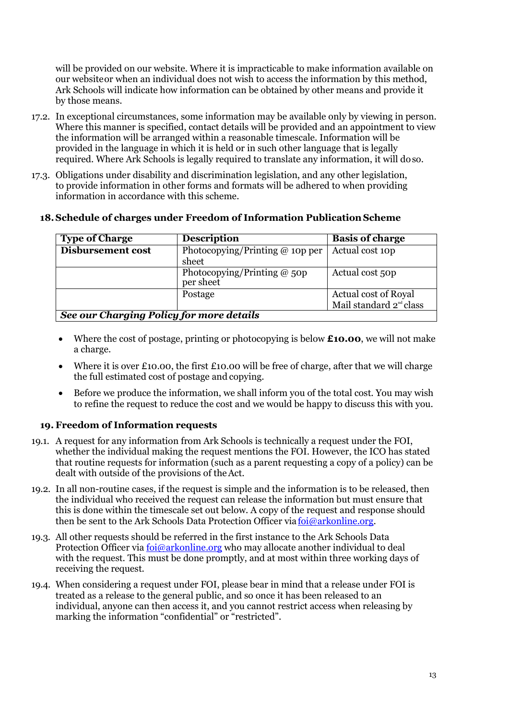will be provided on our website. Where it is impracticable to make information available on our websiteor when an individual does not wish to access the information by this method, Ark Schools will indicate how information can be obtained by other means and provide it by those means.

- 17.2. In exceptional circumstances, some information may be available only by viewing in person. Where this manner is specified, contact details will be provided and an appointment to view the information will be arranged within a reasonable timescale. Information will be provided in the language in which it is held or in such other language that is legally required. Where Ark Schools is legally required to translate any information, it will doso.
- 17.3. Obligations under disability and discrimination legislation, and any other legislation, to provide information in other forms and formats will be adhered to when providing information in accordance with this scheme.

<span id="page-12-0"></span>

|  |  | 18. Schedule of charges under Freedom of Information Publication Scheme |  |
|--|--|-------------------------------------------------------------------------|--|
|  |  |                                                                         |  |

| <b>Type of Charge</b>                    | <b>Description</b>                         | <b>Basis of charge</b>              |  |
|------------------------------------------|--------------------------------------------|-------------------------------------|--|
| <b>Disbursement cost</b>                 | Photocopying/Printing $@$ 10p per          | Actual cost 10p                     |  |
|                                          | sheet                                      |                                     |  |
|                                          | Photocopying/Printing $@$ 50p<br>per sheet | Actual cost 50p                     |  |
|                                          | Postage                                    | Actual cost of Royal                |  |
|                                          |                                            | Mail standard 2 <sup>nd</sup> class |  |
| See our Charging Policy for more details |                                            |                                     |  |

- Where the cost of postage, printing or photocopying is below **£10.00**, we will not make a charge.
- Where it is over £10.00, the first £10.00 will be free of charge, after that we will charge the full estimated cost of postage and copying.
- Before we produce the information, we shall inform you of the total cost. You may wish to refine the request to reduce the cost and we would be happy to discuss this with you.

## **19. Freedom of Information requests**

- <span id="page-12-1"></span>19.1. A request for any information from Ark Schools is technically a request under the FOI, whether the individual making the request mentions the FOI. However, the ICO has stated that routine requests for information (such as a parent requesting a copy of a policy) can be dealt with outside of the provisions of theAct.
- 19.2. In all non-routine cases, if the request is simple and the information is to be released, then the individual who received the request can release the information but must ensure that this is done within the timescale set out below. A copy of the request and response should then be sent to the Ark Schools Data Protection Officer via  $foi@arkonline.org$ .
- 19.3. All other requests should be referred in the first instance to the Ark Schools Data Protection Officer via [foi@arkonline.org](mailto:foi@arkonline.org) who may allocate another individual to deal with the request. This must be done promptly, and at most within three working days of receiving the request.
- 19.4. When considering a request under FOI, please bear in mind that a release under FOI is treated as a release to the general public, and so once it has been released to an individual, anyone can then access it, and you cannot restrict access when releasing by marking the information "confidential" or "restricted".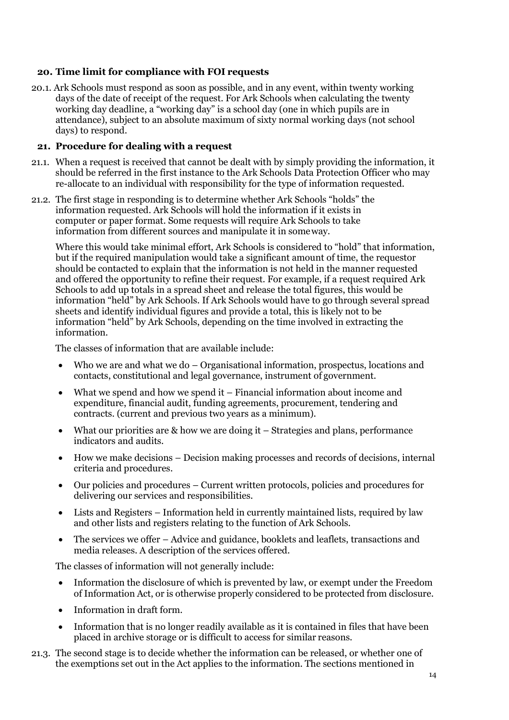## <span id="page-13-0"></span>**20. Time limit for compliance with FOI requests**

20.1. Ark Schools must respond as soon as possible, and in any event, within twenty working days of the date of receipt of the request. For Ark Schools when calculating the twenty working day deadline, a "working day" is a school day (one in which pupils are in attendance), subject to an absolute maximum of sixty normal working days (not school days) to respond.

## <span id="page-13-1"></span>**21. Procedure for dealing with a request**

- 21.1. When a request is received that cannot be dealt with by simply providing the information, it should be referred in the first instance to the Ark Schools Data Protection Officer who may re-allocate to an individual with responsibility for the type of information requested.
- 21.2. The first stage in responding is to determine whether Ark Schools "holds" the information requested. Ark Schools will hold the information if it exists in computer or paper format. Some requests will require Ark Schools to take information from different sources and manipulate it in someway.

Where this would take minimal effort, Ark Schools is considered to "hold" that information, but if the required manipulation would take a significant amount of time, the requestor should be contacted to explain that the information is not held in the manner requested and offered the opportunity to refine their request. For example, if a request required Ark Schools to add up totals in a spread sheet and release the total figures, this would be information "held" by Ark Schools. If Ark Schools would have to go through several spread sheets and identify individual figures and provide a total, this is likely not to be information "held" by Ark Schools, depending on the time involved in extracting the information.

The classes of information that are available include:

- Who we are and what we do Organisational information, prospectus, locations and contacts, constitutional and legal governance, instrument of government.
- What we spend and how we spend it  $-$  Financial information about income and expenditure, financial audit, funding agreements, procurement, tendering and contracts. (current and previous two years as a minimum).
- What our priorities are  $&$  how we are doing it Strategies and plans, performance indicators and audits.
- How we make decisions Decision making processes and records of decisions, internal criteria and procedures.
- Our policies and procedures Current written protocols, policies and procedures for delivering our services and responsibilities.
- Lists and Registers Information held in currently maintained lists, required by law and other lists and registers relating to the function of Ark Schools.
- The services we offer Advice and guidance, booklets and leaflets, transactions and media releases. A description of the services offered.

The classes of information will not generally include:

- Information the disclosure of which is prevented by law, or exempt under the Freedom of Information Act, or is otherwise properly considered to be protected from disclosure.
- Information in draft form.
- Information that is no longer readily available as it is contained in files that have been placed in archive storage or is difficult to access for similar reasons.
- 21.3. The second stage is to decide whether the information can be released, or whether one of the exemptions set out in the Act applies to the information. The sections mentioned in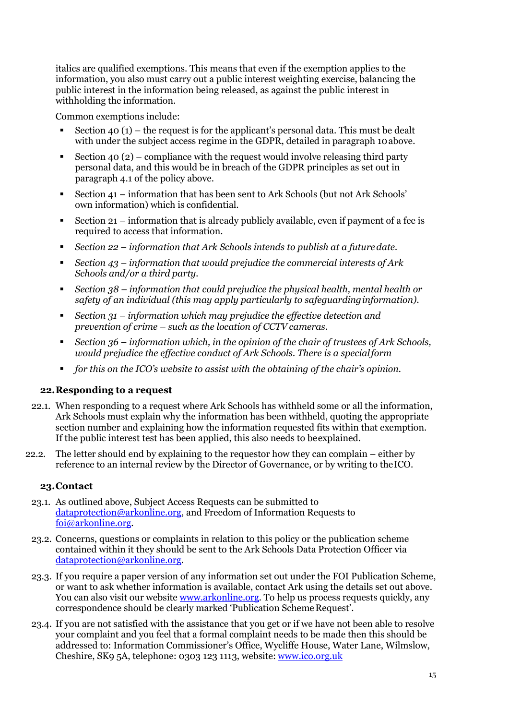italics are qualified exemptions. This means that even if the exemption applies to the information, you also must carry out a public interest weighting exercise, balancing the public interest in the information being released, as against the public interest in withholding the information.

Common exemptions include:

- Section 40 (1) the request is for the applicant's personal data. This must be dealt with under the subject access regime in the GDPR, detailed in paragraph 10 above.
- Section 40 (2) compliance with the request would involve releasing third party personal data, and this would be in breach of the GDPR principles as set out in paragraph 4.1 of the policy above.
- Section 41 information that has been sent to Ark Schools (but not Ark Schools' own information) which is confidential.
- Section  $21$  information that is already publicly available, even if payment of a fee is required to access that information.
- *Section 22 – information that Ark Schools intends to publish at a futuredate.*
- *Section 43 – information that would prejudice the commercial interests of Ark Schools and/or a third party.*
- *Section 38 – information that could prejudice the physical health, mental health or safety of an individual (this may apply particularly to safeguardinginformation).*
- *Section 31 – information which may prejudice the effective detection and prevention of crime – such as the location of CCTV cameras.*
- *Section 36 – information which, in the opinion of the chair of trustees of Ark Schools, would prejudice the effective conduct of Ark Schools. There is a specialform*
- *for this on the ICO's website to assist with the obtaining of the chair's opinion.*

#### **22.Responding to a request**

- <span id="page-14-0"></span>22.1. When responding to a request where Ark Schools has withheld some or all the information, Ark Schools must explain why the information has been withheld, quoting the appropriate section number and explaining how the information requested fits within that exemption. If the public interest test has been applied, this also needs to beexplained.
- 22.2. The letter should end by explaining to the requestor how they can complain either by reference to an internal review by the Director of Governance, or by writing to theICO.

#### **23.Contact**

- <span id="page-14-1"></span>23.1. As outlined above, Subject Access Requests can be submitted to [dataprotection@arkonline.org,](mailto:dataprotection@arkonline.org) and Freedom of Information Requests t[o](mailto:foi@arkonline.org) [foi@arkonline.org.](mailto:foi@arkonline.org)
- 23.2. Concerns, questions or complaints in relation to this policy or the publication scheme contained within it they should be sent to the Ark Schools Data Protection Officer via [dataprotection@arkonline.org.](mailto:dataprotection@arkonline.org)
- 23.3. If you require a paper version of any information set out under the FOI Publication Scheme, or want to ask whether information is available, contact Ark using the details set out above. You can also visit our website [www.arkonline.org.](http://www.arkonline.org/) To help us process requests quickly, any correspondence should be clearly marked 'Publication Scheme Request'.
- 23.4. If you are not satisfied with the assistance that you get or if we have not been able to resolve your complaint and you feel that a formal complaint needs to be made then this should be addressed to: Information Commissioner's Office, Wycliffe House, Water Lane, Wilmslow, Cheshire, SK9 5A, telephone: 0303 123 1113, website: [www.ico.org.uk](http://www.ico.org.uk/)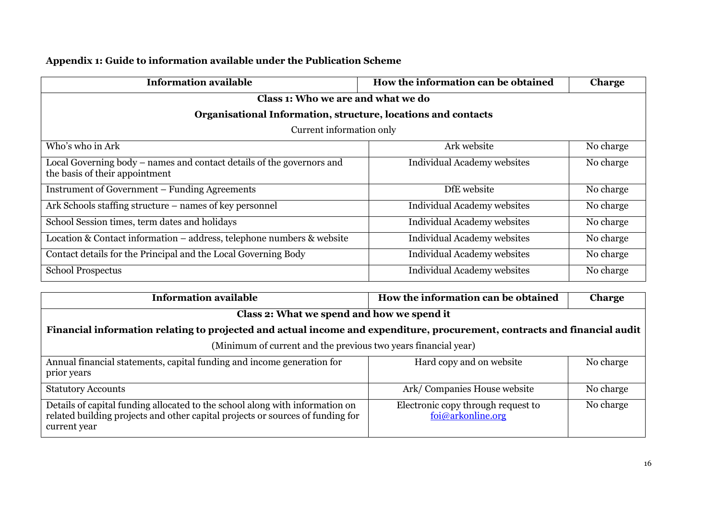| Appendix 1: Guide to information available under the Publication Scheme |  |
|-------------------------------------------------------------------------|--|
|-------------------------------------------------------------------------|--|

| <b>Information available</b>                                                                            | How the information can be obtained | <b>Charge</b> |  |
|---------------------------------------------------------------------------------------------------------|-------------------------------------|---------------|--|
| Class 1: Who we are and what we do                                                                      |                                     |               |  |
| Organisational Information, structure, locations and contacts                                           |                                     |               |  |
| Current information only                                                                                |                                     |               |  |
| Who's who in Ark                                                                                        | Ark website                         | No charge     |  |
| Local Governing body – names and contact details of the governors and<br>the basis of their appointment | Individual Academy websites         | No charge     |  |
| Instrument of Government – Funding Agreements                                                           | DfE website                         | No charge     |  |
| Ark Schools staffing structure – names of key personnel                                                 | Individual Academy websites         | No charge     |  |
| School Session times, term dates and holidays                                                           | Individual Academy websites         | No charge     |  |
| Location & Contact information – address, telephone numbers & website                                   | <b>Individual Academy websites</b>  | No charge     |  |
| Contact details for the Principal and the Local Governing Body                                          | Individual Academy websites         | No charge     |  |
| <b>School Prospectus</b>                                                                                | Individual Academy websites         | No charge     |  |

<span id="page-15-0"></span>

| <b>Information available</b>                                                                                                                                                   | How the information can be obtained                     | <b>Charge</b> |  |  |  |
|--------------------------------------------------------------------------------------------------------------------------------------------------------------------------------|---------------------------------------------------------|---------------|--|--|--|
|                                                                                                                                                                                | Class 2: What we spend and how we spend it              |               |  |  |  |
| Financial information relating to projected and actual income and expenditure, procurement, contracts and financial audit                                                      |                                                         |               |  |  |  |
| (Minimum of current and the previous two years financial year)                                                                                                                 |                                                         |               |  |  |  |
| Annual financial statements, capital funding and income generation for<br>prior years                                                                                          | Hard copy and on website                                | No charge     |  |  |  |
| <b>Statutory Accounts</b>                                                                                                                                                      | Ark/Companies House website                             | No charge     |  |  |  |
| Details of capital funding allocated to the school along with information on<br>related building projects and other capital projects or sources of funding for<br>current year | Electronic copy through request to<br>foi@arkonline.org | No charge     |  |  |  |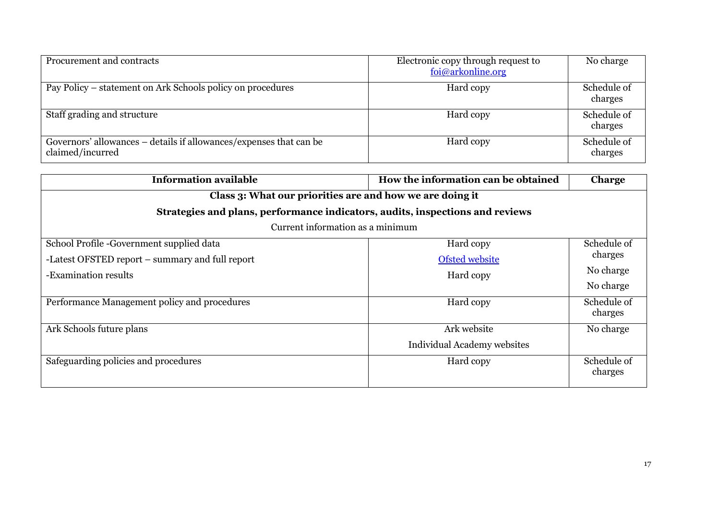| Procurement and contracts                                                              | Electronic copy through request to<br>foi@arkonline.org | No charge              |
|----------------------------------------------------------------------------------------|---------------------------------------------------------|------------------------|
| Pay Policy – statement on Ark Schools policy on procedures                             | Hard copy                                               | Schedule of<br>charges |
| Staff grading and structure                                                            | Hard copy                                               | Schedule of<br>charges |
| Governors' allowances – details if allowances/expenses that can be<br>claimed/incurred | Hard copy                                               | Schedule of<br>charges |

| <b>Information available</b>                                                  | How the information can be obtained                      | <b>Charge</b>          |  |  |  |
|-------------------------------------------------------------------------------|----------------------------------------------------------|------------------------|--|--|--|
|                                                                               | Class 3: What our priorities are and how we are doing it |                        |  |  |  |
| Strategies and plans, performance indicators, audits, inspections and reviews |                                                          |                        |  |  |  |
| Current information as a minimum                                              |                                                          |                        |  |  |  |
| School Profile - Government supplied data                                     | Hard copy                                                | Schedule of            |  |  |  |
| -Latest OFSTED report – summary and full report                               | <b>Ofsted website</b>                                    | charges                |  |  |  |
| -Examination results                                                          | Hard copy                                                | No charge              |  |  |  |
|                                                                               |                                                          | No charge              |  |  |  |
| Performance Management policy and procedures                                  | Hard copy                                                | Schedule of<br>charges |  |  |  |
| Ark Schools future plans                                                      | Ark website                                              | No charge              |  |  |  |
|                                                                               | Individual Academy websites                              |                        |  |  |  |
| Safeguarding policies and procedures                                          | Hard copy                                                | Schedule of<br>charges |  |  |  |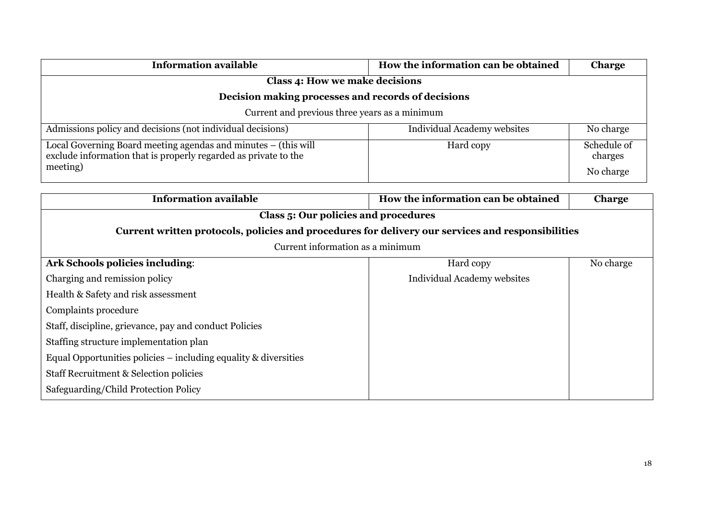| <b>Information available</b>                                                                                                                  | How the information can be obtained | <b>Charge</b>                       |  |
|-----------------------------------------------------------------------------------------------------------------------------------------------|-------------------------------------|-------------------------------------|--|
| Class 4: How we make decisions                                                                                                                |                                     |                                     |  |
| Decision making processes and records of decisions                                                                                            |                                     |                                     |  |
| Current and previous three years as a minimum                                                                                                 |                                     |                                     |  |
| Admissions policy and decisions (not individual decisions)                                                                                    | Individual Academy websites         | No charge                           |  |
| Local Governing Board meeting agendas and minutes - (this will<br>exclude information that is properly regarded as private to the<br>meeting) | Hard copy                           | Schedule of<br>charges<br>No charge |  |

| <b>Information available</b>                                                                      | How the information can be obtained  | <b>Charge</b> |  |  |  |
|---------------------------------------------------------------------------------------------------|--------------------------------------|---------------|--|--|--|
|                                                                                                   | Class 5: Our policies and procedures |               |  |  |  |
| Current written protocols, policies and procedures for delivery our services and responsibilities |                                      |               |  |  |  |
| Current information as a minimum                                                                  |                                      |               |  |  |  |
| Ark Schools policies including:                                                                   | Hard copy                            | No charge     |  |  |  |
| Charging and remission policy                                                                     | Individual Academy websites          |               |  |  |  |
| Health & Safety and risk assessment                                                               |                                      |               |  |  |  |
| Complaints procedure                                                                              |                                      |               |  |  |  |
| Staff, discipline, grievance, pay and conduct Policies                                            |                                      |               |  |  |  |
| Staffing structure implementation plan                                                            |                                      |               |  |  |  |
| Equal Opportunities policies – including equality & diversities                                   |                                      |               |  |  |  |
| Staff Recruitment & Selection policies                                                            |                                      |               |  |  |  |
| Safeguarding/Child Protection Policy                                                              |                                      |               |  |  |  |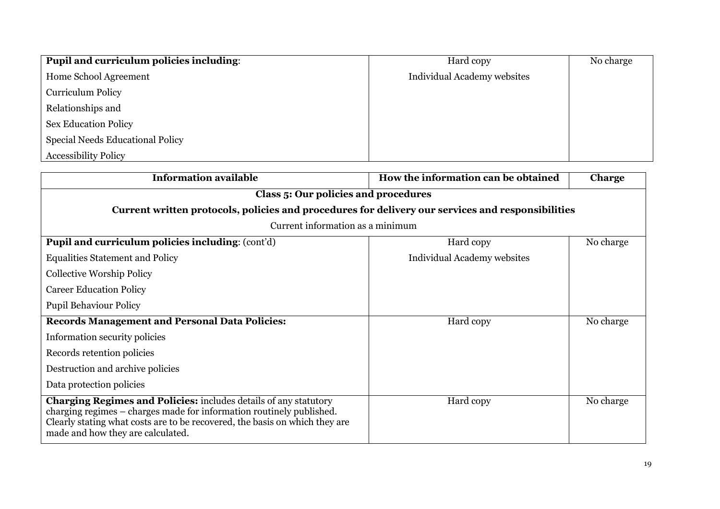| Pupil and curriculum policies including: | Hard copy                   | No charge |
|------------------------------------------|-----------------------------|-----------|
| Home School Agreement                    | Individual Academy websites |           |
| <b>Curriculum Policy</b>                 |                             |           |
| Relationships and                        |                             |           |
| <b>Sex Education Policy</b>              |                             |           |
| <b>Special Needs Educational Policy</b>  |                             |           |
| <b>Accessibility Policy</b>              |                             |           |

| <b>Information available</b>                                                                                                                                                                                                                                        | How the information can be obtained | <b>Charge</b> |  |  |
|---------------------------------------------------------------------------------------------------------------------------------------------------------------------------------------------------------------------------------------------------------------------|-------------------------------------|---------------|--|--|
| Class 5: Our policies and procedures                                                                                                                                                                                                                                |                                     |               |  |  |
| Current written protocols, policies and procedures for delivery our services and responsibilities                                                                                                                                                                   |                                     |               |  |  |
| Current information as a minimum                                                                                                                                                                                                                                    |                                     |               |  |  |
| Pupil and curriculum policies including: (cont'd)                                                                                                                                                                                                                   | Hard copy                           | No charge     |  |  |
| <b>Equalities Statement and Policy</b>                                                                                                                                                                                                                              | Individual Academy websites         |               |  |  |
| <b>Collective Worship Policy</b>                                                                                                                                                                                                                                    |                                     |               |  |  |
| <b>Career Education Policy</b>                                                                                                                                                                                                                                      |                                     |               |  |  |
| <b>Pupil Behaviour Policy</b>                                                                                                                                                                                                                                       |                                     |               |  |  |
| <b>Records Management and Personal Data Policies:</b>                                                                                                                                                                                                               | Hard copy                           | No charge     |  |  |
| Information security policies                                                                                                                                                                                                                                       |                                     |               |  |  |
| Records retention policies                                                                                                                                                                                                                                          |                                     |               |  |  |
| Destruction and archive policies                                                                                                                                                                                                                                    |                                     |               |  |  |
| Data protection policies                                                                                                                                                                                                                                            |                                     |               |  |  |
| <b>Charging Regimes and Policies:</b> includes details of any statutory<br>charging regimes – charges made for information routinely published.<br>Clearly stating what costs are to be recovered, the basis on which they are<br>made and how they are calculated. | Hard copy                           | No charge     |  |  |